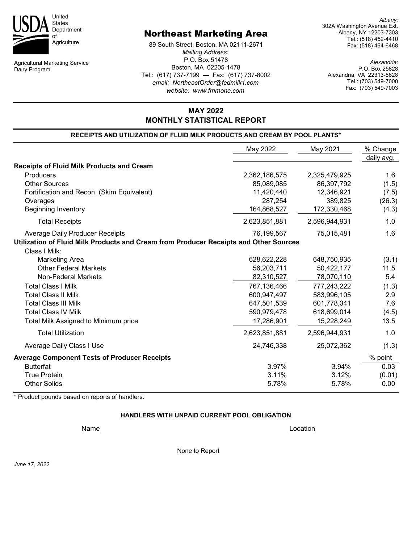

Agricultural Marketing Service Dairy Program

# Northeast Marketing Area

89 South Street, Boston, MA 02111-2671 *Mailing Address:* P.O. Box 51478 Boston, MA 02205-1478 Tel.: (617) 737-7199 — Fax: (617) 737-8002 *email: NortheastOrder@fedmilk1.com website: www.fmmone.com*

*Albany:* 302A Washington Avenue Ext. Albany, NY 12203-7303 Tel.: (518) 452-4410 Fax: (518) 464-6468

*Alexandria:* P.O. Box 25828 Alexandria, VA 22313-5828 Tel.: (703) 549-7000 Fax: (703) 549-7003

# **RECEIPTS AND UTILIZATION OF FLUID MILK PRODUCTS AND CREAM BY POOL PLANTS\* MONTHLY STATISTICAL REPORT**

**MAY 2022**

|                                                                                       | May 2022      | May 2021      | % Change   |
|---------------------------------------------------------------------------------------|---------------|---------------|------------|
|                                                                                       |               |               | daily avg. |
| <b>Receipts of Fluid Milk Products and Cream</b>                                      |               |               |            |
| Producers                                                                             | 2,362,186,575 | 2,325,479,925 | 1.6        |
| <b>Other Sources</b>                                                                  | 85,089,085    | 86,397,792    | (1.5)      |
| Fortification and Recon. (Skim Equivalent)                                            | 11,420,440    | 12,346,921    | (7.5)      |
| Overages                                                                              | 287,254       | 389,825       | (26.3)     |
| <b>Beginning Inventory</b>                                                            | 164,868,527   | 172,330,468   | (4.3)      |
| <b>Total Receipts</b>                                                                 | 2,623,851,881 | 2,596,944,931 | 1.0        |
| Average Daily Producer Receipts                                                       | 76,199,567    | 75,015,481    | 1.6        |
| Utilization of Fluid Milk Products and Cream from Producer Receipts and Other Sources |               |               |            |
| Class I Milk:                                                                         |               |               |            |
| <b>Marketing Area</b>                                                                 | 628,622,228   | 648,750,935   | (3.1)      |
| <b>Other Federal Markets</b>                                                          | 56,203,711    | 50,422,177    | 11.5       |
| <b>Non-Federal Markets</b>                                                            | 82,310,527    | 78,070,110    | 5.4        |
| <b>Total Class I Milk</b>                                                             | 767,136,466   | 777,243,222   | (1.3)      |
| <b>Total Class II Milk</b>                                                            | 600,947,497   | 583,996,105   | 2.9        |
| <b>Total Class III Milk</b>                                                           | 647,501,539   | 601,778,341   | 7.6        |
| <b>Total Class IV Milk</b>                                                            | 590,979,478   | 618,699,014   | (4.5)      |
| Total Milk Assigned to Minimum price                                                  | 17,286,901    | 15,228,249    | 13.5       |
| <b>Total Utilization</b>                                                              | 2,623,851,881 | 2,596,944,931 | 1.0        |
| Average Daily Class I Use                                                             | 24,746,338    | 25,072,362    | (1.3)      |
| <b>Average Component Tests of Producer Receipts</b>                                   |               |               | % point    |
| <b>Butterfat</b>                                                                      | 3.97%         | 3.94%         | 0.03       |
| <b>True Protein</b>                                                                   | 3.11%         | 3.12%         | (0.01)     |
| <b>Other Solids</b>                                                                   | 5.78%         | 5.78%         | 0.00       |

\* Product pounds based on reports of handlers.

#### **HANDLERS WITH UNPAID CURRENT POOL OBLIGATION**

None to Report

Name Location **Name**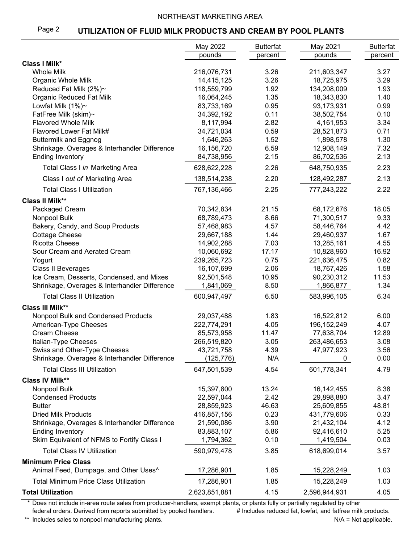#### NORTHEAST MARKETING AREA

#### Page 2 **UTILIZATION OF FLUID MILK PRODUCTS AND CREAM BY POOL PLANTS**

|                                                   | May 2022                  | <b>Butterfat</b> | May 2021                  | <b>Butterfat</b> |
|---------------------------------------------------|---------------------------|------------------|---------------------------|------------------|
|                                                   | pounds                    | percent          | pounds                    | percent          |
| <b>Class I Milk*</b>                              |                           |                  |                           |                  |
| <b>Whole Milk</b>                                 | 216,076,731               | 3.26             | 211,603,347               | 3.27             |
| Organic Whole Milk                                | 14,415,125                | 3.26             | 18,725,975                | 3.29             |
| Reduced Fat Milk (2%)~                            | 118,559,799               | 1.92             | 134,208,009               | 1.93             |
| Organic Reduced Fat Milk                          | 16,064,245                | 1.35             | 18,343,830                | 1.40             |
| Lowfat Milk $(1%)~$                               | 83,733,169                | 0.95             | 93,173,931                | 0.99             |
| FatFree Milk (skim)~                              | 34,392,192                | 0.11             | 38,502,754                | 0.10             |
| <b>Flavored Whole Milk</b>                        | 8,117,994                 | 2.82             | 4,161,953                 | 3.34             |
| Flavored Lower Fat Milk#                          | 34,721,034                | 0.59             | 28,521,873                | 0.71             |
| <b>Buttermilk and Eggnog</b>                      | 1,646,263                 | 1.52             | 1,898,578                 | 1.30             |
| Shrinkage, Overages & Interhandler Difference     | 16,156,720                | 6.59             | 12,908,149                | 7.32             |
| <b>Ending Inventory</b>                           | 84,738,956                | 2.15             | 86,702,536                | 2.13             |
| Total Class I in Marketing Area                   | 628,622,228               | 2.26             | 648,750,935               | 2.23             |
| Class I out of Marketing Area                     | 138,514,238               | 2.20             | 128,492,287               | 2.13             |
| <b>Total Class I Utilization</b>                  | 767,136,466               | 2.25             | 777,243,222               | 2.22             |
| <b>Class II Milk**</b>                            |                           |                  |                           |                  |
| Packaged Cream                                    | 70,342,834                | 21.15            | 68,172,676                | 18.05            |
| Nonpool Bulk                                      | 68,789,473                | 8.66             | 71,300,517                | 9.33             |
| Bakery, Candy, and Soup Products                  | 57,468,983                | 4.57<br>1.44     | 58,446,764                | 4.42             |
| <b>Cottage Cheese</b><br><b>Ricotta Cheese</b>    | 29,667,188                |                  | 29,460,937                | 1.67             |
|                                                   | 14,902,288                | 7.03             | 13,285,161                | 4.55             |
| Sour Cream and Aerated Cream                      | 10,060,692                | 17.17<br>0.75    | 10,828,960                | 16.92<br>0.82    |
| Yogurt                                            | 239,265,723<br>16,107,699 | 2.06             | 221,636,475<br>18,767,426 | 1.58             |
| Class II Beverages                                |                           |                  |                           |                  |
| Ice Cream, Desserts, Condensed, and Mixes         | 92,501,548                | 10.95            | 90,230,312                | 11.53            |
| Shrinkage, Overages & Interhandler Difference     | 1,841,069                 | 8.50             | 1,866,877                 | 1.34             |
| <b>Total Class II Utilization</b>                 | 600,947,497               | 6.50             | 583,996,105               | 6.34             |
| <b>Class III Milk**</b>                           |                           |                  |                           |                  |
| Nonpool Bulk and Condensed Products               | 29,037,488                | 1.83             | 16,522,812                | 6.00             |
| American-Type Cheeses                             | 222,774,291               | 4.05             | 196, 152, 249             | 4.07             |
| Cream Cheese                                      | 85,573,958                | 11.47            | 77,638,704                | 12.89            |
| Italian-Type Cheeses                              | 266,519,820               | 3.05             | 263,486,653               | 3.08             |
| Swiss and Other-Type Cheeses                      | 43,721,758                | 4.39             | 47,977,923                | 3.56             |
| Shrinkage, Overages & Interhandler Difference     | (125, 776)                | N/A              | 0                         | 0.00             |
| <b>Total Class III Utilization</b>                | 647,501,539               | 4.54             | 601,778,341               | 4.79             |
| <b>Class IV Milk**</b>                            |                           |                  |                           |                  |
| Nonpool Bulk                                      | 15,397,800                | 13.24            | 16, 142, 455              | 8.38             |
| <b>Condensed Products</b>                         | 22,597,044                | 2.42             | 29,898,880                | 3.47             |
| <b>Butter</b>                                     | 28,859,923                | 46.63            | 25,609,855                | 48.81            |
| <b>Dried Milk Products</b>                        | 416,857,156               | 0.23             | 431,779,606               | 0.33             |
| Shrinkage, Overages & Interhandler Difference     | 21,590,086                | 3.90             | 21,432,104                | 4.12             |
| <b>Ending Inventory</b>                           | 83,883,107                | 5.86             | 92,416,610                | 5.25             |
| Skim Equivalent of NFMS to Fortify Class I        | 1,794,362                 | 0.10             | 1,419,504                 | 0.03             |
| <b>Total Class IV Utilization</b>                 | 590,979,478               | 3.85             | 618,699,014               | 3.57             |
| <b>Minimum Price Class</b>                        |                           |                  |                           |                  |
| Animal Feed, Dumpage, and Other Uses <sup>^</sup> | 17,286,901                | 1.85             | 15,228,249                | 1.03             |
| <b>Total Minimum Price Class Utilization</b>      | 17,286,901                | 1.85             | 15,228,249                | 1.03             |
| <b>Total Utilization</b>                          | 2,623,851,881             | 4.15             | 2,596,944,931             | 4.05             |

\* Does not include in-area route sales from producer-handlers, exempt plants, or plants fully or partially regulated by other federal orders. Derived from reports submitted by pooled handlers. # Includes reduced fat, lowfat, and fatfree milk products.

\*\* Includes sales to nonpool manufacturing plants. And the same of the same of the same of the Not applicable.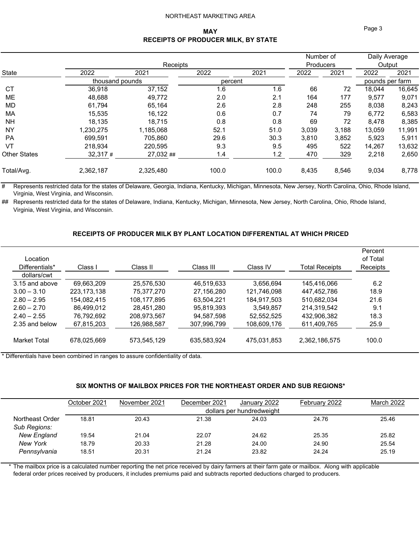#### NORTHEAST MARKETING AREA

#### **MAY RECEIPTS OF PRODUCER MILK, BY STATE**

|                     |                 |           |         |       | Number of |                  | Daily Average   |        |  |
|---------------------|-----------------|-----------|---------|-------|-----------|------------------|-----------------|--------|--|
|                     | Receipts        |           |         |       |           | <b>Producers</b> |                 | Output |  |
| <b>State</b>        | 2022            | 2021      | 2022    | 2021  | 2022      | 2021             | 2022            | 2021   |  |
|                     | thousand pounds |           | percent |       |           |                  | pounds per farm |        |  |
| CT                  | 36,918          | 37,152    | 1.6     | 1.6   | 66        | 72               | 18,044          | 16,645 |  |
| ME                  | 48.688          | 49.772    | 2.0     | 2.1   | 164       | 177              | 9,577           | 9,071  |  |
| MD.                 | 61,794          | 65,164    | 2.6     | 2.8   | 248       | 255              | 8,038           | 8,243  |  |
| МA                  | 15,535          | 16,122    | 0.6     | 0.7   | 74        | 79               | 6,772           | 6,583  |  |
| <b>NH</b>           | 18.135          | 18,715    | 0.8     | 0.8   | 69        | 72               | 8,478           | 8,385  |  |
| NY                  | 1,230,275       | 1,185,068 | 52.1    | 51.0  | 3,039     | 3,188            | 13,059          | 11,991 |  |
| PA                  | 699.591         | 705.860   | 29.6    | 30.3  | 3,810     | 3,852            | 5,923           | 5,911  |  |
| VT                  | 218.934         | 220,595   | 9.3     | 9.5   | 495       | 522              | 14,267          | 13,632 |  |
| <b>Other States</b> | $32,317 \#$     | 27,032##  | 1.4     | 1.2   | 470       | 329              | 2,218           | 2,650  |  |
| Total/Avg.          | 2,362,187       | 2,325,480 | 100.0   | 100.0 | 8,435     | 8,546            | 9,034           | 8,778  |  |

# Represents restricted data for the states of Delaware, Georgia, Indiana, Kentucky, Michigan, Minnesota, New Jersey, North Carolina, Ohio, Rhode Island, Virginia, West Virginia, and Wisconsin.

## Represents restricted data for the states of Delaware, Indiana, Kentucky, Michigan, Minnesota, New Jersey, North Carolina, Ohio, Rhode Island, Virginia, West Virginia, and Wisconsin.

#### **RECEIPTS OF PRODUCER MILK BY PLANT LOCATION DIFFERENTIAL AT WHICH PRICED**

| Location<br>Differentials*<br>dollars/cwt | Class I     | Class II    | Class III   | Class IV    | <b>Total Receipts</b> | Percent<br>of Total<br>Receipts |
|-------------------------------------------|-------------|-------------|-------------|-------------|-----------------------|---------------------------------|
| 3.15 and above                            | 69,663,209  | 25,576,530  | 46,519,633  | 3,656,694   | 145.416.066           | 6.2                             |
| $3.00 - 3.10$                             | 223.173.138 | 75.377.270  | 27.156.280  | 121.746.098 | 447.452.786           | 18.9                            |
| $2.80 - 2.95$                             | 154.082.415 | 108.177.895 | 63.504.221  | 184.917.503 | 510.682.034           | 21.6                            |
| $2.60 - 2.70$                             | 86.499.012  | 28,451,280  | 95,819,393  | 3,549,857   | 214,319,542           | 9.1                             |
| $2.40 - 2.55$                             | 76.792.692  | 208,973,567 | 94.587.598  | 52.552.525  | 432,906,382           | 18.3                            |
| 2.35 and below                            | 67,815,203  | 126,988,587 | 307,996,799 | 108,609,176 | 611,409,765           | 25.9                            |
| Market Total                              | 678.025.669 | 573,545,129 | 635,583,924 | 475,031,853 | 2,362,186,575         | 100.0                           |

\* Differentials have been combined in ranges to assure confidentiality of data.

#### **SIX MONTHS OF MAILBOX PRICES FOR THE NORTHEAST ORDER AND SUB REGIONS\***

|                    | October 2021 | November 2021 | December 2021 | January 2022              | February 2022 | March 2022 |
|--------------------|--------------|---------------|---------------|---------------------------|---------------|------------|
|                    |              |               |               | dollars per hundredweight |               |            |
| Northeast Order    | 18.81        | 20.43         | 21.38         | 24.03                     | 24.76         | 25.46      |
| Sub Regions:       |              |               |               |                           |               |            |
| <b>New England</b> | 19.54        | 21.04         | 22.07         | 24.62                     | 25.35         | 25.82      |
| <b>New York</b>    | 18.79        | 20.33         | 21.28         | 24.00                     | 24.90         | 25.54      |
| Pennsylvania       | 18.51        | 20.31         | 21.24         | 23.82                     | 24.24         | 25.19      |
|                    |              |               |               |                           |               |            |

The mailbox price is a calculated number reporting the net price received by dairy farmers at their farm gate or mailbox. Along with applicable federal order prices received by producers, it includes premiums paid and subtracts reported deductions charged to producers.

Page 3